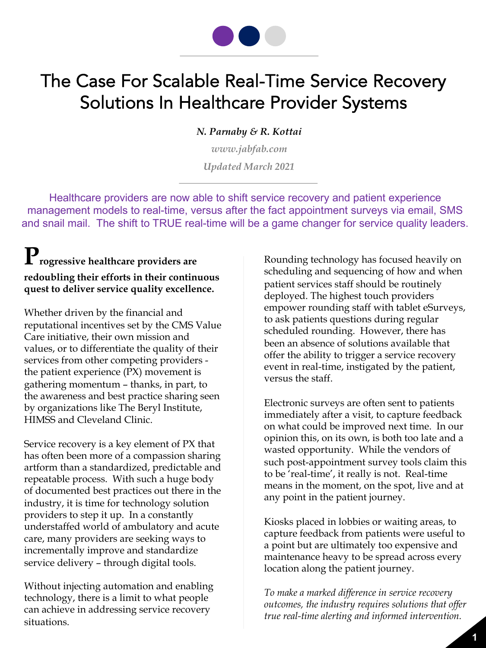

# The Case For Scalable Real-Time Service Recovery Solutions In Healthcare Provider Systems

*N. Parnaby & R. Kottai*

*www.jabfab.com Updated March 2021*

Healthcare providers are now able to shift service recovery and patient experience management models to real-time, versus after the fact appointment surveys via email, SMS and snail mail. The shift to TRUE real-time will be a game changer for service quality leaders.

## **Progressive healthcare providers are redoubling their efforts in their continuous quest to deliver service quality excellence.**

Whether driven by the financial and reputational incentives set by the CMS Value Care initiative, their own mission and values, or to differentiate the quality of their services from other competing providers the patient experience (PX) movement is gathering momentum – thanks, in part, to the awareness and best practice sharing seen by organizations like The Beryl Institute, HIMSS and Cleveland Clinic.

Service recovery is a key element of PX that has often been more of a compassion sharing artform than a standardized, predictable and repeatable process. With such a huge body of documented best practices out there in the industry, it is time for technology solution providers to step it up. In a constantly understaffed world of ambulatory and acute care, many providers are seeking ways to incrementally improve and standardize service delivery – through digital tools.

Without injecting automation and enabling technology, there is a limit to what people can achieve in addressing service recovery situations.

Rounding technology has focused heavily on scheduling and sequencing of how and when patient services staff should be routinely deployed. The highest touch providers empower rounding staff with tablet eSurveys, to ask patients questions during regular scheduled rounding. However, there has been an absence of solutions available that offer the ability to trigger a service recovery event in real-time, instigated by the patient, versus the staff.

Electronic surveys are often sent to patients immediately after a visit, to capture feedback on what could be improved next time. In our opinion this, on its own, is both too late and a wasted opportunity. While the vendors of such post-appointment survey tools claim this to be 'real-time', it really is not. Real-time means in the moment, on the spot, live and at any point in the patient journey.

Kiosks placed in lobbies or waiting areas, to capture feedback from patients were useful to a point but are ultimately too expensive and maintenance heavy to be spread across every location along the patient journey.

*To make a marked difference in service recovery outcomes, the industry requires solutions that offer true real-time alerting and informed intervention.*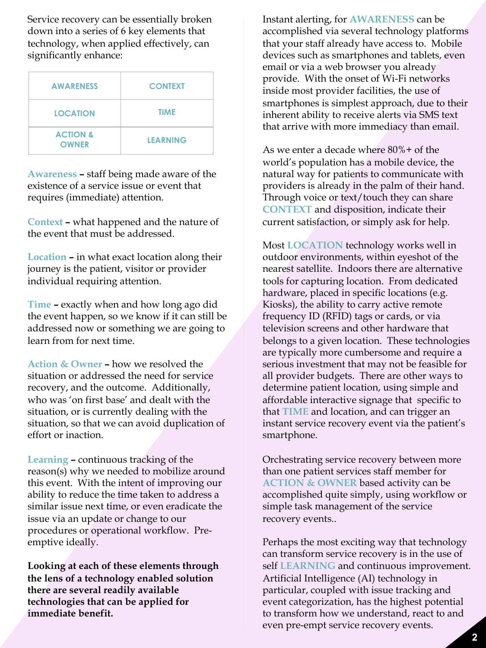Service recovery can be essentially broken down into a series of 6 key elements that technology, when applied effectively, can significantly enhance:

| <b>AWARENESS</b>                    | <b>CONTEXT</b>  |
|-------------------------------------|-----------------|
| <b>LOCATION</b>                     | <b>TIME</b>     |
| <b>ACTION &amp;</b><br><b>OWNER</b> | <b>LEARNING</b> |

**Awareness –** staff being made aware of the existence of a service issue or event that requires (immediate) attention.

**Context –** what happened and the nature of the event that must be addressed.

**Location –** in what exact location along their journey is the patient, visitor or provider individual requiring attention.

**Time –** exactly when and how long ago did the event happen, so we know if it can still be addressed now or something we are going to learn from for next time.

**Action & Owner –** how we resolved the situation or addressed the need for service recovery, and the outcome. Additionally, who was 'on first base' and dealt with the situation, or is currently dealing with the situation, so that we can avoid duplication of effort or inaction.

**Learning –** continuous tracking of the reason(s) why we needed to mobilize around this event. With the intent of improving our ability to reduce the time taken to address a similar issue next time, or even eradicate the issue via an update or change to our procedures or operational workflow. Preemptive ideally.

**Looking at each of these elements through the lens of a technology enabled solution there are several readily available technologies that can be applied for immediate benefit.**

Instant alerting, for **AWARENESS** can be accomplished via several technology platforms that your staff already have access to. Mobile devices such as smartphones and tablets, even email or via a web browser you already provide. With the onset of Wi-Fi networks inside most provider facilities, the use of smartphones is simplest approach, due to their inherent ability to receive alerts via SMS text that arrive with more immediacy than email.

As we enter a decade where 80%+ of the world's population has a mobile device, the natural way for patients to communicate with providers is already in the palm of their hand. Through voice or text/touch they can share **CONTEXT** and disposition, indicate their current satisfaction, or simply ask for help.

Most **LOCATION** technology works well in outdoor environments, within eyeshot of the nearest satellite. Indoors there are alternative tools for capturing location. From dedicated hardware, placed in specific locations (e.g. Kiosks), the ability to carry active remote frequency ID (RFID) tags or cards, or via television screens and other hardware that belongs to a given location. These technologies are typically more cumbersome and require a serious investment that may not be feasible for all provider budgets. There are other ways to determine patient location, using simple and affordable interactive signage that specific to that **TIME** and location, and can trigger an instant service recovery event via the patient's smartphone.

Orchestrating service recovery between more than one patient services staff member for **ACTION & OWNER** based activity can be accomplished quite simply, using workflow or simple task management of the service recovery events..

Perhaps the most exciting way that technology can transform service recovery is in the use of self **LEARNING** and continuous improvement. Artificial Intelligence (AI) technology in particular, coupled with issue tracking and event categorization, has the highest potential to transform how we understand, react to and even pre-empt service recovery events.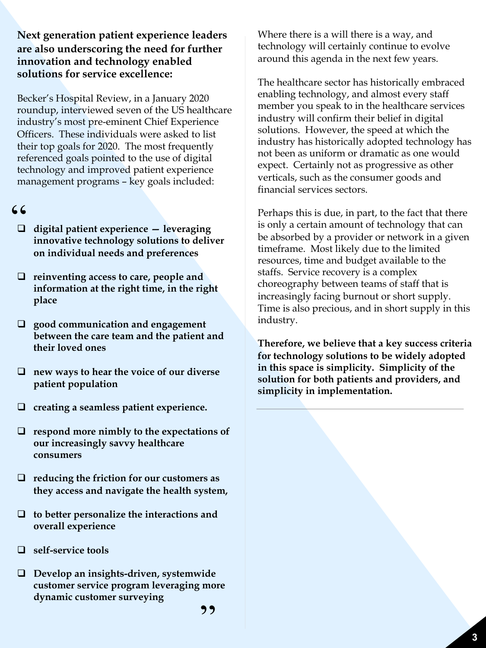#### **Next generation patient experience leaders are also underscoring the need for further innovation and technology enabled solutions for service excellence:**

Becker's Hospital Review, in a January 2020 roundup, interviewed seven of the US healthcare industry's most pre-eminent Chief Experience Officers. These individuals were asked to list their top goals for 2020. The most frequently referenced goals pointed to the use of digital technology and improved patient experience management programs – key goals included:

#### $66$

- q **digital patient experience — leveraging innovative technology solutions to deliver on individual needs and preferences**
- **□** reinventing access to care, people and **information at the right time, in the right place**
- □ good communication and engagement **between the care team and the patient and their loved ones**
- □ new ways to hear the voice of our diverse **patient population**
- q **creating a seamless patient experience.**
- □ respond more nimbly to the expectations of **our increasingly savvy healthcare consumers**
- **□** reducing the friction for our customers as **they access and navigate the health system,**
- □ to better personalize the interactions and **overall experience**
- q **self-service tools**
- □ Develop an insights-driven, systemwide **customer service program leveraging more dynamic customer surveying**

The healthcare sector has historically embraced enabling technology, and almost every staff member you speak to in the healthcare services industry will confirm their belief in digital solutions. However, the speed at which the industry has historically adopted technology has not been as uniform or dramatic as one would expect. Certainly not as progressive as other verticals, such as the consumer goods and financial services sectors.

Perhaps this is due, in part, to the fact that there is only a certain amount of technology that can be absorbed by a provider or network in a given timeframe. Most likely due to the limited resources, time and budget available to the staffs. Service recovery is a complex choreography between teams of staff that is increasingly facing burnout or short supply. Time is also precious, and in short supply in this industry.

**Therefore, we believe that a key success criteria for technology solutions to be widely adopted in this space is simplicity. Simplicity of the solution for both patients and providers, and simplicity in implementation.**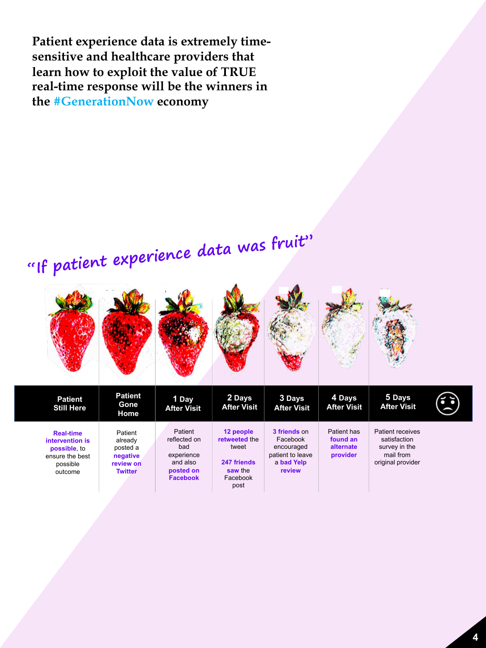**Patient experience data is extremely timesensitive and healthcare providers that learn how to exploit the value of TRUE real-time response will be the winners in the #GenerationNow economy**

# **"If patient experience data was fruit"**